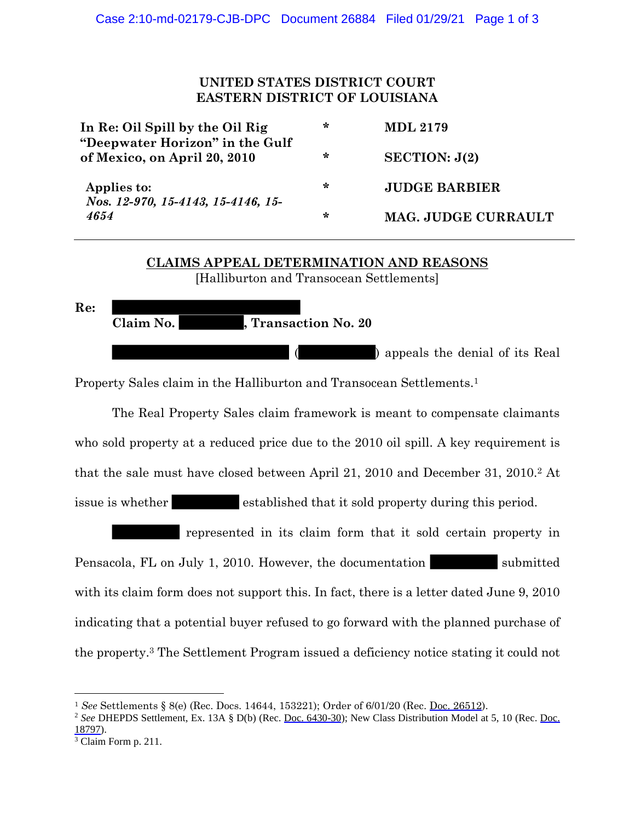## **UNITED STATES DISTRICT COURT EASTERN DISTRICT OF LOUISIANA**

| In Re: Oil Spill by the Oil Rig<br>"Deepwater Horizon" in the Gulf<br>of Mexico, on April 20, 2010 | ∗ | <b>MDL 2179</b>      |
|----------------------------------------------------------------------------------------------------|---|----------------------|
|                                                                                                    | ∗ | SECTION: J(2)        |
| Applies to:<br>Nos. 12-970, 15-4143, 15-4146, 15-<br>4654                                          | ∗ | <b>JUDGE BARBIER</b> |
|                                                                                                    | ∗ | MAG. JUDGE CURRAULT  |

## **CLAIMS APPEAL DETERMINATION AND REASONS** [Halliburton and Transocean Settlements]

**Re: Claim No. , Transaction No. 20** ( ) appeals the denial of its Real

Property Sales claim in the Halliburton and Transocean Settlements. 1

The Real Property Sales claim framework is meant to compensate claimants who sold property at a reduced price due to the 2010 oil spill. A key requirement is that the sale must have closed between April 21, 2010 and December 31, 2010.<sup>2</sup> At issue is whether established that it sold property during this period.

represented in its claim form that it sold certain property in Pensacola, FL on July 1, 2010. However, the documentation submitted with its claim form does not support this. In fact, there is a letter dated June 9, 2010 indicating that a potential buyer refused to go forward with the planned purchase of the property.<sup>3</sup> The Settlement Program issued a deficiency notice stating it could not

<sup>1</sup> *See* Settlements § 8(e) (Rec. Docs. 14644, 153221); Order of 6/01/20 (Rec. Doc. 26512).

<sup>&</sup>lt;sup>2</sup> See DHEPDS Settlement, Ex. 13A § D(b) (Rec. Doc. 6430-30); New Class Distribution Model at 5, 10 (Rec. Doc. 18797).

<sup>&</sup>lt;sup>3</sup> Claim Form p. 211.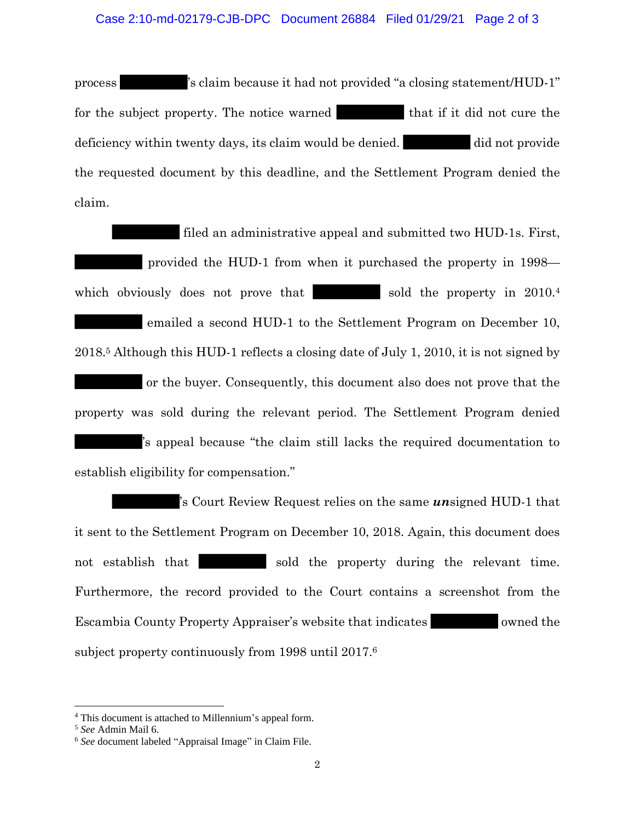process 's claim because it had not provided "a closing statement/HUD-1" for the subject property. The notice warned that if it did not cure the deficiency within twenty days, its claim would be denied. did not provide the requested document by this deadline, and the Settlement Program denied the claim.

filed an administrative appeal and submitted two HUD-1s. First, provided the HUD-1 from when it purchased the property in 1998 which obviously does not prove that sold the property in  $2010<sup>4</sup>$ emailed a second HUD-1 to the Settlement Program on December 10, 2018.<sup>5</sup> Although this HUD-1 reflects a closing date of July 1, 2010, it is not signed by or the buyer. Consequently, this document also does not prove that the property was sold during the relevant period. The Settlement Program denied 's appeal because "the claim still lacks the required documentation to establish eligibility for compensation."

's Court Review Request relies on the same *un*signed HUD-1 that it sent to the Settlement Program on December 10, 2018. Again, this document does not establish that sold the property during the relevant time. Furthermore, the record provided to the Court contains a screenshot from the Escambia County Property Appraiser's website that indicates owned the subject property continuously from 1998 until 2017. 6

<sup>4</sup> This document is attached to Millennium's appeal form.

<sup>5</sup> *See* Admin Mail 6.

<sup>6</sup> *See* document labeled "Appraisal Image" in Claim File.